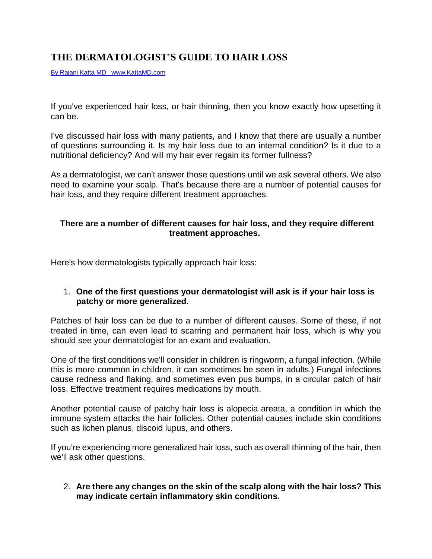# **THE DERMATOLOGIST'S GUIDE TO HAIR LOSS**

By Rajani Katta MD www.KattaMD.com

If you've experienced hair loss, or hair thinning, then you know exactly how upsetting it can be.

I've discussed hair loss with many patients, and I know that there are usually a number of questions surrounding it. Is my hair loss due to an internal condition? Is it due to a nutritional deficiency? And will my hair ever regain its former fullness?

As a dermatologist, we can't answer those questions until we ask several others. We also need to examine your scalp. That's because there are a number of potential causes for hair loss, and they require different treatment approaches.

# **There are a number of different causes for hair loss, and they require different treatment approaches.**

Here's how dermatologists typically approach hair loss:

# 1. **One of the first questions your dermatologist will ask is if your hair loss is patchy or more generalized.**

Patches of hair loss can be due to a number of different causes. Some of these, if not treated in time, can even lead to scarring and permanent hair loss, which is why you should see your dermatologist for an exam and evaluation.

One of the first conditions we'll consider in children is ringworm, a fungal infection. (While this is more common in children, it can sometimes be seen in adults.) Fungal infections cause redness and flaking, and sometimes even pus bumps, in a circular patch of hair loss. Effective treatment requires medications by mouth.

Another potential cause of patchy hair loss is alopecia areata, a condition in which the immune system attacks the hair follicles. Other potential causes include skin conditions such as lichen planus, discoid lupus, and others.

If you're experiencing more generalized hair loss, such as overall thinning of the hair, then we'll ask other questions.

#### 2. **Are there any changes on the skin of the scalp along with the hair loss? This may indicate certain inflammatory skin conditions.**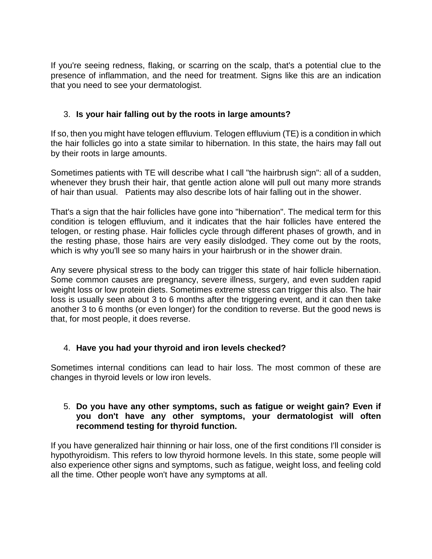If you're seeing redness, flaking, or scarring on the scalp, that's a potential clue to the presence of inflammation, and the need for treatment. Signs like this are an indication that you need to see your dermatologist.

# 3. **Is your hair falling out by the roots in large amounts?**

If so, then you might have telogen effluvium. Telogen effluvium (TE) is a condition in which the hair follicles go into a state similar to hibernation. In this state, the hairs may fall out by their roots in large amounts.

Sometimes patients with TE will describe what I call "the hairbrush sign": all of a sudden, whenever they brush their hair, that gentle action alone will pull out many more strands of hair than usual. Patients may also describe lots of hair falling out in the shower.

That's a sign that the hair follicles have gone into "hibernation". The medical term for this condition is telogen effluvium, and it indicates that the hair follicles have entered the telogen, or resting phase. Hair follicles cycle through different phases of growth, and in the resting phase, those hairs are very easily dislodged. They come out by the roots, which is why you'll see so many hairs in your hairbrush or in the shower drain.

Any severe physical stress to the body can trigger this state of hair follicle hibernation. Some common causes are pregnancy, severe illness, surgery, and even sudden rapid weight loss or low protein diets. Sometimes extreme stress can trigger this also. The hair loss is usually seen about 3 to 6 months after the triggering event, and it can then take another 3 to 6 months (or even longer) for the condition to reverse. But the good news is that, for most people, it does reverse.

# 4. **Have you had your thyroid and iron levels checked?**

Sometimes internal conditions can lead to hair loss. The most common of these are changes in thyroid levels or low iron levels.

#### 5. **Do you have any other symptoms, such as fatigue or weight gain? Even if you don't have any other symptoms, your dermatologist will often recommend testing for thyroid function.**

If you have generalized hair thinning or hair loss, one of the first conditions I'll consider is hypothyroidism. This refers to low thyroid hormone levels. In this state, some people will also experience other signs and symptoms, such as fatigue, weight loss, and feeling cold all the time. Other people won't have any symptoms at all.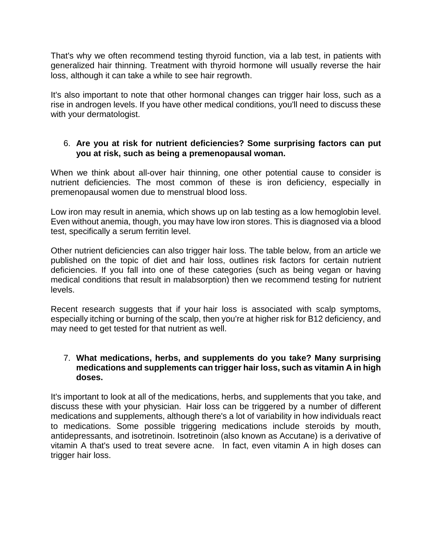That's why we often recommend testing thyroid function, via a lab test, in patients with generalized hair thinning. Treatment with thyroid hormone will usually reverse the hair loss, although it can take a while to see hair regrowth.

It's also important to note that other hormonal changes can trigger hair loss, such as a rise in androgen levels. If you have other medical conditions, you'll need to discuss these with your dermatologist.

#### 6. **Are you at risk for nutrient deficiencies? Some surprising factors can put you at risk, such as being a premenopausal woman.**

When we think about all-over hair thinning, one other potential cause to consider is nutrient deficiencies. The most common of these is iron deficiency, especially in premenopausal women due to menstrual blood loss.

Low iron may result in anemia, which shows up on lab testing as a low hemoglobin level. Even without anemia, though, you may have low iron stores. This is diagnosed via a blood test, specifically a serum ferritin level.

Other nutrient deficiencies can also trigger hair loss. The table below, from an article we published on the topic of diet and hair loss, outlines risk factors for certain nutrient deficiencies. If you fall into one of these categories (such as being vegan or having medical conditions that result in malabsorption) then we recommend testing for nutrient levels.

Recent research suggests that if your hair loss is associated with scalp symptoms, especially itching or burning of the scalp, then you're at higher risk for B12 deficiency, and may need to get tested for that nutrient as well.

#### 7. **What medications, herbs, and supplements do you take? Many surprising medications and supplements can trigger hair loss, such as vitamin A in high doses.**

It's important to look at all of the medications, herbs, and supplements that you take, and discuss these with your physician. Hair loss can be triggered by a number of different medications and supplements, although there's a lot of variability in how individuals react to medications. Some possible triggering medications include steroids by mouth, antidepressants, and isotretinoin. Isotretinoin (also known as Accutane) is a derivative of vitamin A that's used to treat severe acne. In fact, even vitamin A in high doses can trigger hair loss.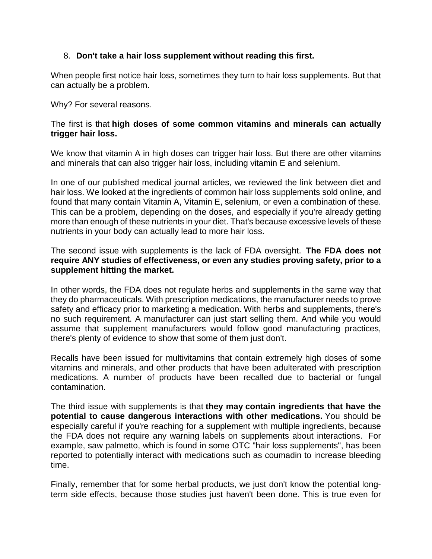# 8. **Don't take a hair loss supplement without reading this first.**

When people first notice hair loss, sometimes they turn to hair loss supplements. But that can actually be a problem.

Why? For several reasons.

#### The first is that **high doses of some common vitamins and minerals can actually trigger hair loss.**

We know that vitamin A in high doses can trigger hair loss. But there are other vitamins and minerals that can also trigger hair loss, including vitamin E and selenium.

In one of our published medical journal articles, we reviewed the link between diet and hair loss. We looked at the ingredients of common hair loss supplements sold online, and found that many contain Vitamin A, Vitamin E, selenium, or even a combination of these. This can be a problem, depending on the doses, and especially if you're already getting more than enough of these nutrients in your diet. That's because excessive levels of these nutrients in your body can actually lead to more hair loss.

The second issue with supplements is the lack of FDA oversight. **The FDA does not require ANY studies of effectiveness, or even any studies proving safety, prior to a supplement hitting the market.**

In other words, the FDA does not regulate herbs and supplements in the same way that they do pharmaceuticals. With prescription medications, the manufacturer needs to prove safety and efficacy prior to marketing a medication. With herbs and supplements, there's no such requirement. A manufacturer can just start selling them. And while you would assume that supplement manufacturers would follow good manufacturing practices, there's plenty of evidence to show that some of them just don't.

Recalls have been issued for multivitamins that contain extremely high doses of some vitamins and minerals, and other products that have been adulterated with prescription medications. A number of products have been recalled due to bacterial or fungal contamination.

The third issue with supplements is that **they may contain ingredients that have the potential to cause dangerous interactions with other medications.** You should be especially careful if you're reaching for a supplement with multiple ingredients, because the FDA does not require any warning labels on supplements about interactions. For example, saw palmetto, which is found in some OTC "hair loss supplements", has been reported to potentially interact with medications such as coumadin to increase bleeding time.

Finally, remember that for some herbal products, we just don't know the potential longterm side effects, because those studies just haven't been done. This is true even for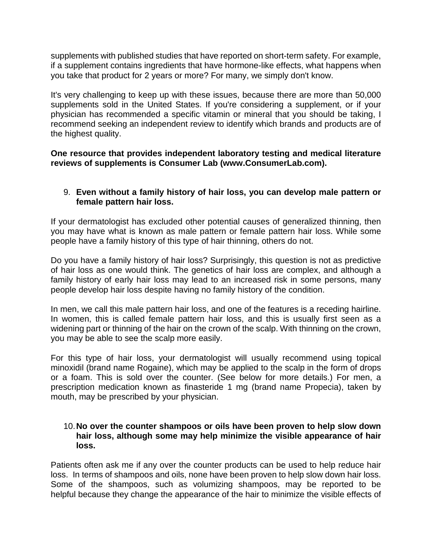supplements with published studies that have reported on short-term safety. For example, if a supplement contains ingredients that have hormone-like effects, what happens when you take that product for 2 years or more? For many, we simply don't know.

It's very challenging to keep up with these issues, because there are more than 50,000 supplements sold in the United States. If you're considering a supplement, or if your physician has recommended a specific vitamin or mineral that you should be taking, I recommend seeking an independent review to identify which brands and products are of the highest quality.

#### **One resource that provides independent laboratory testing and medical literature reviews of supplements is Consumer Lab (www.ConsumerLab.com).**

#### 9. **Even without a family history of hair loss, you can develop male pattern or female pattern hair loss.**

If your dermatologist has excluded other potential causes of generalized thinning, then you may have what is known as male pattern or female pattern hair loss. While some people have a family history of this type of hair thinning, others do not.

Do you have a family history of hair loss? Surprisingly, this question is not as predictive of hair loss as one would think. The genetics of hair loss are complex, and although a family history of early hair loss may lead to an increased risk in some persons, many people develop hair loss despite having no family history of the condition.

In men, we call this male pattern hair loss, and one of the features is a receding hairline. In women, this is called female pattern hair loss, and this is usually first seen as a widening part or thinning of the hair on the crown of the scalp. With thinning on the crown, you may be able to see the scalp more easily.

For this type of hair loss, your dermatologist will usually recommend using topical minoxidil (brand name Rogaine), which may be applied to the scalp in the form of drops or a foam. This is sold over the counter. (See below for more details.) For men, a prescription medication known as finasteride 1 mg (brand name Propecia), taken by mouth, may be prescribed by your physician.

#### 10.**No over the counter shampoos or oils have been proven to help slow down hair loss, although some may help minimize the visible appearance of hair loss.**

Patients often ask me if any over the counter products can be used to help reduce hair loss. In terms of shampoos and oils, none have been proven to help slow down hair loss. Some of the shampoos, such as volumizing shampoos, may be reported to be helpful because they change the appearance of the hair to minimize the visible effects of